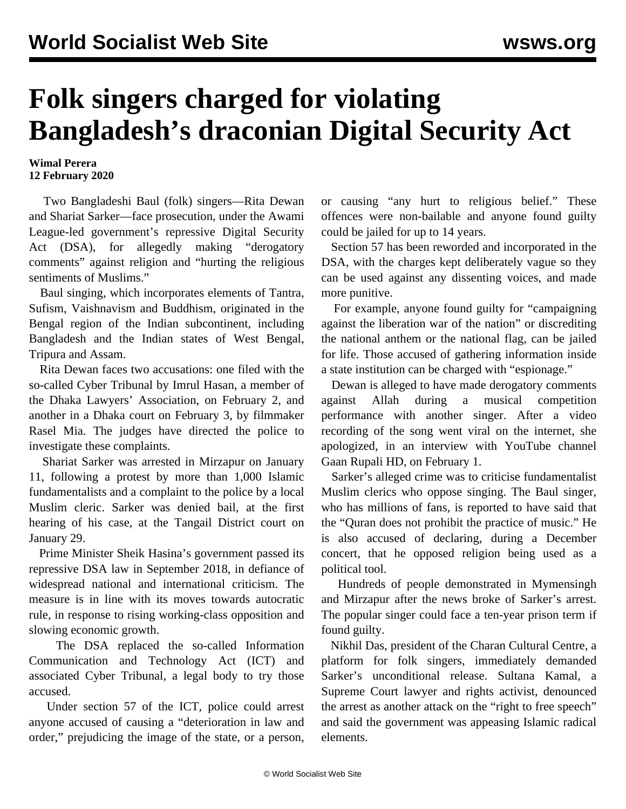## **Folk singers charged for violating Bangladesh's draconian Digital Security Act**

## **Wimal Perera 12 February 2020**

 Two Bangladeshi Baul (folk) singers—Rita Dewan and Shariat Sarker—face prosecution, under the Awami League-led government's repressive Digital Security Act (DSA), for allegedly making "derogatory comments" against religion and "hurting the religious sentiments of Muslims."

 Baul singing, which incorporates elements of Tantra, Sufism, Vaishnavism and Buddhism, originated in the Bengal region of the Indian subcontinent, including Bangladesh and the Indian states of West Bengal, Tripura and Assam.

 Rita Dewan faces two accusations: one filed with the so-called Cyber Tribunal by Imrul Hasan, a member of the Dhaka Lawyers' Association, on February 2, and another in a Dhaka court on February 3, by filmmaker Rasel Mia. The judges have directed the police to investigate these complaints.

 Shariat Sarker was arrested in Mirzapur on January 11, following a protest by more than 1,000 Islamic fundamentalists and a complaint to the police by a local Muslim cleric. Sarker was denied bail, at the first hearing of his case, at the Tangail District court on January 29.

 Prime Minister Sheik Hasina's government passed its repressive DSA law in September 2018, in defiance of widespread national and international criticism. The measure is in line with its moves towards autocratic rule, in response to rising working-class opposition and slowing economic growth.

 The DSA replaced the so-called Information Communication and Technology Act (ICT) and associated Cyber Tribunal, a legal body to try those accused.

 Under section 57 of the ICT, police could arrest anyone accused of causing a "deterioration in law and order," prejudicing the image of the state, or a person, or causing "any hurt to religious belief." These offences were non-bailable and anyone found guilty could be jailed for up to 14 years.

 Section 57 has been reworded and incorporated in the DSA, with the charges kept deliberately vague so they can be used against any dissenting voices, and made more punitive.

 For example, anyone found guilty for "campaigning against the liberation war of the nation" or discrediting the national anthem or the national flag, can be jailed for life. Those accused of gathering information inside a state institution can be charged with "espionage."

 Dewan is alleged to have made derogatory comments against Allah during a musical competition performance with another singer. After a video recording of the song went viral on the internet, she apologized, in an interview with YouTube channel Gaan Rupali HD, on February 1.

 Sarker's alleged crime was to criticise fundamentalist Muslim clerics who oppose singing. The Baul singer, who has millions of fans, is reported to have said that the "Quran does not prohibit the practice of music." He is also accused of declaring, during a December concert, that he opposed religion being used as a political tool.

 Hundreds of people demonstrated in Mymensingh and Mirzapur after the news broke of Sarker's arrest. The popular singer could face a ten-year prison term if found guilty.

 Nikhil Das, president of the Charan Cultural Centre, a platform for folk singers, immediately demanded Sarker's unconditional release. Sultana Kamal, a Supreme Court lawyer and rights activist, denounced the arrest as another attack on the "right to free speech" and said the government was appeasing Islamic radical elements.